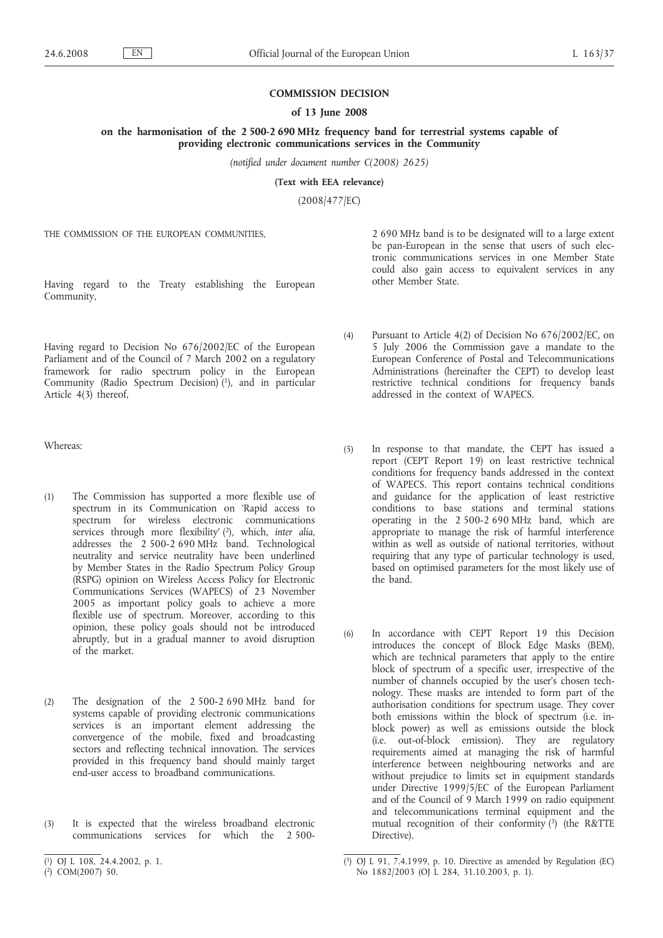## **COMMISSION DECISION**

## **of 13 June 2008**

## **on the harmonisation of the 2 500-2 690 MHz frequency band for terrestrial systems capable of providing electronic communications services in the Community**

*(notified under document number C(2008) 2625)*

**(Text with EEA relevance)**

(2008/477/EC)

THE COMMISSION OF THE EUROPEAN COMMUNITIES,

Having regard to the Treaty establishing the European Community,

Having regard to Decision No 676/2002/EC of the European Parliament and of the Council of 7 March 2002 on a regulatory framework for radio spectrum policy in the European Community (Radio Spectrum Decision) (1), and in particular Article 4(3) thereof,

Whereas:

- (1) The Commission has supported a more flexible use of spectrum in its Communication on 'Rapid access to spectrum for wireless electronic communications services through more flexibility' ( 2), which, *inter alia*, addresses the 2 500-2 690 MHz band. Technological neutrality and service neutrality have been underlined by Member States in the Radio Spectrum Policy Group (RSPG) opinion on Wireless Access Policy for Electronic Communications Services (WAPECS) of 23 November 2005 as important policy goals to achieve a more flexible use of spectrum. Moreover, according to this opinion, these policy goals should not be introduced abruptly, but in a gradual manner to avoid disruption of the market.
- (2) The designation of the 2 500-2 690 MHz band for systems capable of providing electronic communications services is an important element addressing the convergence of the mobile, fixed and broadcasting sectors and reflecting technical innovation. The services provided in this frequency band should mainly target end-user access to broadband communications.
- (3) It is expected that the wireless broadband electronic communications services for which the 2 500-

2 690 MHz band is to be designated will to a large extent be pan-European in the sense that users of such electronic communications services in one Member State could also gain access to equivalent services in any other Member State.

- (4) Pursuant to Article 4(2) of Decision No 676/2002/EC, on 5 July 2006 the Commission gave a mandate to the European Conference of Postal and Telecommunications Administrations (hereinafter the CEPT) to develop least restrictive technical conditions for frequency bands addressed in the context of WAPECS.
- (5) In response to that mandate, the CEPT has issued a report (CEPT Report 19) on least restrictive technical conditions for frequency bands addressed in the context of WAPECS. This report contains technical conditions and guidance for the application of least restrictive conditions to base stations and terminal stations operating in the 2 500-2 690 MHz band, which are appropriate to manage the risk of harmful interference within as well as outside of national territories, without requiring that any type of particular technology is used, based on optimised parameters for the most likely use of the band.
- (6) In accordance with CEPT Report 19 this Decision introduces the concept of Block Edge Masks (BEM), which are technical parameters that apply to the entire block of spectrum of a specific user, irrespective of the number of channels occupied by the user's chosen technology. These masks are intended to form part of the authorisation conditions for spectrum usage. They cover both emissions within the block of spectrum (i.e. inblock power) as well as emissions outside the block (i.e. out-of-block emission). They are regulatory requirements aimed at managing the risk of harmful interference between neighbouring networks and are without prejudice to limits set in equipment standards under Directive 1999/5/EC of the European Parliament and of the Council of 9 March 1999 on radio equipment and telecommunications terminal equipment and the mutual recognition of their conformity  $(3)$  (the R&TTE Directive).

<sup>(</sup> 1) OJ L 108, 24.4.2002, p. 1.

<sup>(</sup> 2) COM(2007) 50.

<sup>(</sup> 3) OJ L 91, 7.4.1999, p. 10. Directive as amended by Regulation (EC) No 1882/2003 (OJ L 284, 31.10.2003, p. 1).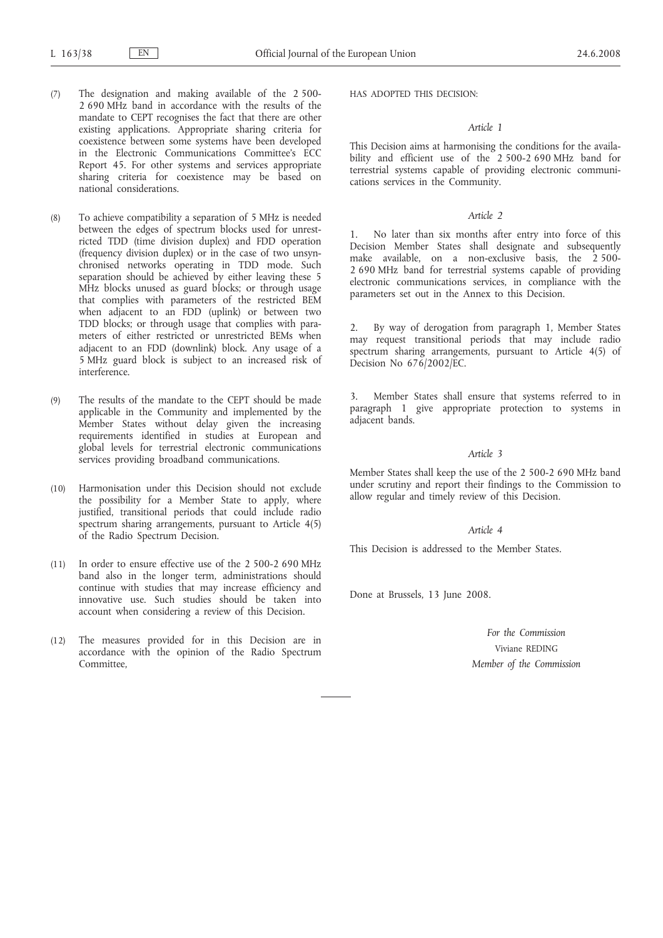- (7) The designation and making available of the 2 500- 2 690 MHz band in accordance with the results of the mandate to CEPT recognises the fact that there are other existing applications. Appropriate sharing criteria for coexistence between some systems have been developed in the Electronic Communications Committee's ECC Report 45. For other systems and services appropriate sharing criteria for coexistence may be based on national considerations.
- (8) To achieve compatibility a separation of 5 MHz is needed between the edges of spectrum blocks used for unrestricted TDD (time division duplex) and FDD operation (frequency division duplex) or in the case of two unsynchronised networks operating in TDD mode. Such separation should be achieved by either leaving these 5 MHz blocks unused as guard blocks; or through usage that complies with parameters of the restricted BEM when adjacent to an FDD (uplink) or between two TDD blocks; or through usage that complies with parameters of either restricted or unrestricted BEMs when adjacent to an FDD (downlink) block. Any usage of a 5 MHz guard block is subject to an increased risk of interference.
- (9) The results of the mandate to the CEPT should be made applicable in the Community and implemented by the Member States without delay given the increasing requirements identified in studies at European and global levels for terrestrial electronic communications services providing broadband communications.
- (10) Harmonisation under this Decision should not exclude the possibility for a Member State to apply, where justified, transitional periods that could include radio spectrum sharing arrangements, pursuant to Article 4(5) of the Radio Spectrum Decision.
- (11) In order to ensure effective use of the 2 500-2 690 MHz band also in the longer term, administrations should continue with studies that may increase efficiency and innovative use. Such studies should be taken into account when considering a review of this Decision.
- (12) The measures provided for in this Decision are in accordance with the opinion of the Radio Spectrum Committee,

HAS ADOPTED THIS DECISION:

## *Article 1*

This Decision aims at harmonising the conditions for the availability and efficient use of the 2 500-2 690 MHz band for terrestrial systems capable of providing electronic communications services in the Community.

## *Article 2*

No later than six months after entry into force of this Decision Member States shall designate and subsequently make available, on a non-exclusive basis, the 2 500- 2 690 MHz band for terrestrial systems capable of providing electronic communications services, in compliance with the parameters set out in the Annex to this Decision.

2. By way of derogation from paragraph 1, Member States may request transitional periods that may include radio spectrum sharing arrangements, pursuant to Article 4(5) of Decision No 676/2002/EC.

Member States shall ensure that systems referred to in paragraph 1 give appropriate protection to systems in adjacent bands.

### *Article 3*

Member States shall keep the use of the 2 500-2 690 MHz band under scrutiny and report their findings to the Commission to allow regular and timely review of this Decision.

## *Article 4*

This Decision is addressed to the Member States.

Done at Brussels, 13 June 2008.

*For the Commission* Viviane REDING *Member of the Commission*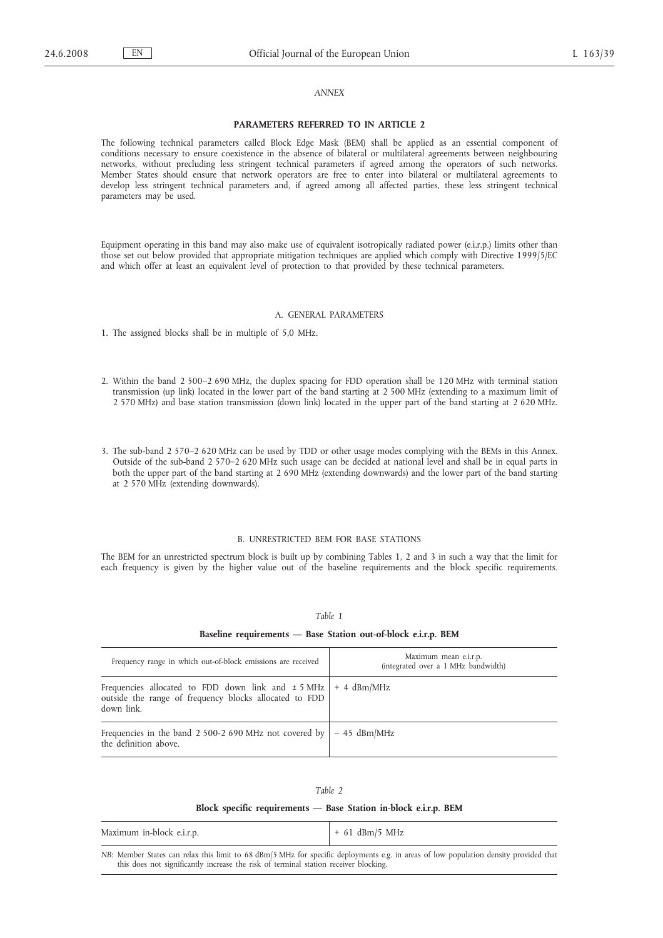## *ANNEX*

#### **PARAMETERS REFERRED TO IN ARTICLE 2**

The following technical parameters called Block Edge Mask (BEM) shall be applied as an essential component of conditions necessary to ensure coexistence in the absence of bilateral or multilateral agreements between neighbouring networks, without precluding less stringent technical parameters if agreed among the operators of such networks. Member States should ensure that network operators are free to enter into bilateral or multilateral agreements to develop less stringent technical parameters and, if agreed among all affected parties, these less stringent technical parameters may be used.

Equipment operating in this band may also make use of equivalent isotropically radiated power (e.i.r.p.) limits other than those set out below provided that appropriate mitigation techniques are applied which comply with Directive 1999/5/EC and which offer at least an equivalent level of protection to that provided by these technical parameters.

#### A. GENERAL PARAMETERS

1. The assigned blocks shall be in multiple of 5,0 MHz.

- 2. Within the band 2 500–2 690 MHz, the duplex spacing for FDD operation shall be 120 MHz with terminal station transmission (up link) located in the lower part of the band starting at 2 500 MHz (extending to a maximum limit of 2 570 MHz) and base station transmission (down link) located in the upper part of the band starting at 2 620 MHz.
- 3. The sub-band 2 570–2 620 MHz can be used by TDD or other usage modes complying with the BEMs in this Annex. Outside of the sub-band 2 570–2 620 MHz such usage can be decided at national level and shall be in equal parts in both the upper part of the band starting at 2 690 MHz (extending downwards) and the lower part of the band starting at 2 570 MHz (extending downwards).

#### B. UNRESTRICTED BEM FOR BASE STATIONS

The BEM for an unrestricted spectrum block is built up by combining Tables 1, 2 and 3 in such a way that the limit for each frequency is given by the higher value out of the baseline requirements and the block specific requirements.

## *Table 1*

#### **Baseline requirements — Base Station out-of-block e.i.r.p. BEM**

| Frequency range in which out-of-block emissions are received                                                                                 | Maximum mean e.i.r.p.<br>(integrated over a 1 MHz bandwidth) |
|----------------------------------------------------------------------------------------------------------------------------------------------|--------------------------------------------------------------|
| Frequencies allocated to FDD down link and $\pm$ 5 MHz   + 4 dBm/MHz<br>outside the range of frequency blocks allocated to FDD<br>down link. |                                                              |
| Frequencies in the band 2 500-2 690 MHz not covered by $ -45$ dBm/MHz<br>the definition above.                                               |                                                              |

#### *Table 2*

### **Block specific requirements — Base Station in-block e.i.r.p. BEM**

| Maximum in-block e.i.r.p. | $+61$ dBm/5 MHz |
|---------------------------|-----------------|
|---------------------------|-----------------|

*NB*: Member States can relax this limit to 68 dBm/5 MHz for specific deployments e.g. in areas of low population density provided that this does not significantly increase the risk of terminal station receiver blocking.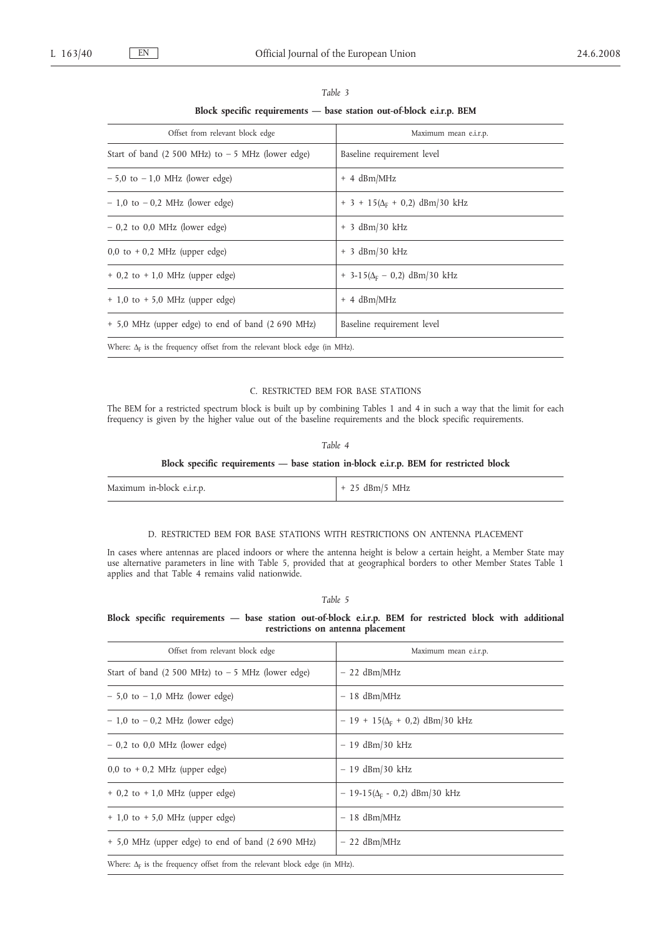|                                                                                  | $\mu$ block specific requirements $\mu$ base station out-or-block c.i.i.p. DEM |
|----------------------------------------------------------------------------------|--------------------------------------------------------------------------------|
| Offset from relevant block edge                                                  | Maximum mean e.i.r.p.                                                          |
| Start of band $(2 500 \text{ MHz})$ to $-5 \text{ MHz}$ (lower edge)             | Baseline requirement level                                                     |
| $-5.0$ to $-1.0$ MHz (lower edge)                                                | $+$ 4 dBm/MHz                                                                  |
| $-1,0$ to $-0,2$ MHz (lower edge)                                                | $+3 + 15(\Delta_{\rm E} + 0.2)$ dBm/30 kHz                                     |
| $-0.2$ to 0.0 MHz (lower edge)                                                   | $+$ 3 dBm/30 kHz                                                               |
| $0,0$ to $+0,2$ MHz (upper edge)                                                 | $+$ 3 dBm/30 kHz                                                               |
| $+$ 0,2 to $+$ 1,0 MHz (upper edge)                                              | $+$ 3-15( $\Delta$ <sub>F</sub> – 0,2) dBm/30 kHz                              |
| $+$ 1,0 to $+$ 5,0 MHz (upper edge)                                              | $+$ 4 dBm/MHz                                                                  |
| + 5,0 MHz (upper edge) to end of band (2 690 MHz)                                | Baseline requirement level                                                     |
| Where: $\Delta_F$ is the frequency offset from the relevant block edge (in MHz). |                                                                                |

# *Table 3* **Block specific requirements — base station out-of-block e.i.r.p. BEM**

## C. RESTRICTED BEM FOR BASE STATIONS

The BEM for a restricted spectrum block is built up by combining Tables 1 and 4 in such a way that the limit for each frequency is given by the higher value out of the baseline requirements and the block specific requirements.

## *Table 4*

## **Block specific requirements — base station in-block e.i.r.p. BEM for restricted block**

| Maximum in-block e.i.r.p. | + 25 dBm/5 MHz |
|---------------------------|----------------|
|---------------------------|----------------|

## D. RESTRICTED BEM FOR BASE STATIONS WITH RESTRICTIONS ON ANTENNA PLACEMENT

In cases where antennas are placed indoors or where the antenna height is below a certain height, a Member State may use alternative parameters in line with Table 5, provided that at geographical borders to other Member States Table 1 applies and that Table 4 remains valid nationwide.

*Table 5*

## **Block specific requirements — base station out-of-block e.i.r.p. BEM for restricted block with additional restrictions on antenna placement**

| Offset from relevant block edge                                                  | Maximum mean e.i.r.p.                 |
|----------------------------------------------------------------------------------|---------------------------------------|
| Start of band $(2500 \text{ MHz})$ to $-5 \text{ MHz}$ (lower edge)              | $-22$ dBm/MHz                         |
| $-5.0$ to $-1.0$ MHz (lower edge)                                                | $-18$ dBm/MHz                         |
| $-1,0$ to $-0,2$ MHz (lower edge)                                                | $-19 + 15(\Delta_F + 0.2)$ dBm/30 kHz |
| $-0.2$ to 0.0 MHz (lower edge)                                                   | $-19$ dBm/30 kHz                      |
| $0,0$ to $+0,2$ MHz (upper edge)                                                 | $-19$ dBm/30 kHz                      |
| $+$ 0,2 to $+$ 1,0 MHz (upper edge)                                              | $-19-15(\Delta_F - 0.2)$ dBm/30 kHz   |
| $+$ 1,0 to $+$ 5,0 MHz (upper edge)                                              | $-18$ dBm/MHz                         |
| + 5,0 MHz (upper edge) to end of band (2 690 MHz)                                | $-22$ dBm/MHz                         |
| Where: $\Delta_F$ is the frequency offset from the relevant block edge (in MHz). |                                       |